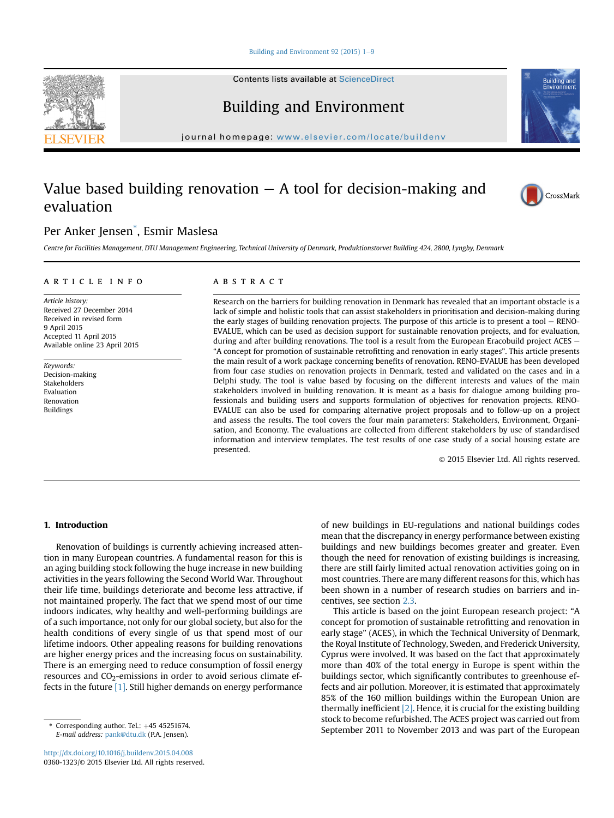#### Building and Environment [9](http://dx.doi.org/10.1016/j.buildenv.2015.04.008)2 (2015)  $1-9$

Contents lists available at [ScienceDirect](www.sciencedirect.com/science/journal/03601323)

# Building and Environment

journal homepage: [www.elsevier.com/locate/buildenv](http://www.elsevier.com/locate/buildenv)

## Value based building renovation  $-$  A tool for decision-making and evaluation

### Per Anker Jensen\* , Esmir Maslesa

Centre for Facilities Management, DTU Management Engineering, Technical University of Denmark, Produktionstorvet Building 424, 2800, Lyngby, Denmark

#### article info

Article history: Received 27 December 2014 Received in revised form 9 April 2015 Accepted 11 April 2015 Available online 23 April 2015

Keywords: Decision-making Stakeholders Evaluation Renovation Buildings

#### **ABSTRACT**

Research on the barriers for building renovation in Denmark has revealed that an important obstacle is a lack of simple and holistic tools that can assist stakeholders in prioritisation and decision-making during the early stages of building renovation projects. The purpose of this article is to present a tool  $-$  RENO-EVALUE, which can be used as decision support for sustainable renovation projects, and for evaluation, during and after building renovations. The tool is a result from the European Eracobuild project ACES  $-$ "A concept for promotion of sustainable retrofitting and renovation in early stages". This article presents the main result of a work package concerning benefits of renovation. RENO-EVALUE has been developed from four case studies on renovation projects in Denmark, tested and validated on the cases and in a Delphi study. The tool is value based by focusing on the different interests and values of the main stakeholders involved in building renovation. It is meant as a basis for dialogue among building professionals and building users and supports formulation of objectives for renovation projects. RENO-EVALUE can also be used for comparing alternative project proposals and to follow-up on a project and assess the results. The tool covers the four main parameters: Stakeholders, Environment, Organisation, and Economy. The evaluations are collected from different stakeholders by use of standardised information and interview templates. The test results of one case study of a social housing estate are presented.

© 2015 Elsevier Ltd. All rights reserved.

#### 1. Introduction

Renovation of buildings is currently achieving increased attention in many European countries. A fundamental reason for this is an aging building stock following the huge increase in new building activities in the years following the Second World War. Throughout their life time, buildings deteriorate and become less attractive, if not maintained properly. The fact that we spend most of our time indoors indicates, why healthy and well-performing buildings are of a such importance, not only for our global society, but also for the health conditions of every single of us that spend most of our lifetime indoors. Other appealing reasons for building renovations are higher energy prices and the increasing focus on sustainability. There is an emerging need to reduce consumption of fossil energy resources and  $CO<sub>2</sub>$ -emissions in order to avoid serious climate effects in the future [1]. Still higher demands on energy performance

of new buildings in EU-regulations and national buildings codes mean that the discrepancy in energy performance between existing buildings and new buildings becomes greater and greater. Even though the need for renovation of existing buildings is increasing, there are still fairly limited actual renovation activities going on in most countries. There are many different reasons for this, which has been shown in a number of research studies on barriers and incentives, see section 2.3.

This article is based on the joint European research project: "A concept for promotion of sustainable retrofitting and renovation in early stage" (ACES), in which the Technical University of Denmark, the Royal Institute of Technology, Sweden, and Frederick University, Cyprus were involved. It was based on the fact that approximately more than 40% of the total energy in Europe is spent within the buildings sector, which significantly contributes to greenhouse effects and air pollution. Moreover, it is estimated that approximately 85% of the 160 million buildings within the European Union are thermally inefficient  $[2]$ . Hence, it is crucial for the existing building stock to become refurbished. The ACES project was carried out from September 2011 to November 2013 and was part of the European \* Corresponding author. Tel.: +45 45251674.<br>E mail address: papk@dtu.dk (PA Jopsop)







E-mail address: [pank@dtu.dk](mailto:pank@dtu.dk) (P.A. Jensen).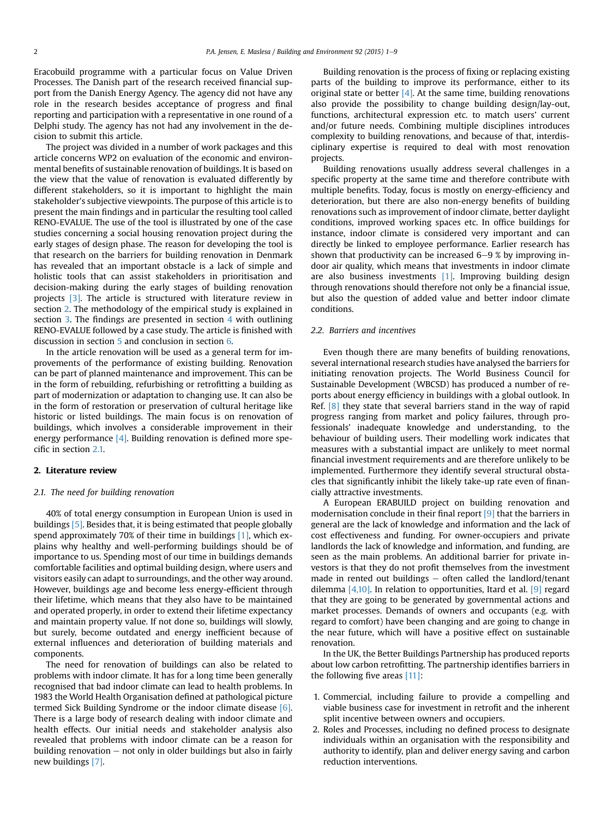Eracobuild programme with a particular focus on Value Driven Processes. The Danish part of the research received financial support from the Danish Energy Agency. The agency did not have any role in the research besides acceptance of progress and final reporting and participation with a representative in one round of a Delphi study. The agency has not had any involvement in the decision to submit this article.

The project was divided in a number of work packages and this article concerns WP2 on evaluation of the economic and environmental benefits of sustainable renovation of buildings. It is based on the view that the value of renovation is evaluated differently by different stakeholders, so it is important to highlight the main stakeholder's subjective viewpoints. The purpose of this article is to present the main findings and in particular the resulting tool called RENO-EVALUE. The use of the tool is illustrated by one of the case studies concerning a social housing renovation project during the early stages of design phase. The reason for developing the tool is that research on the barriers for building renovation in Denmark has revealed that an important obstacle is a lack of simple and holistic tools that can assist stakeholders in prioritisation and decision-making during the early stages of building renovation projects [3]. The article is structured with literature review in section 2. The methodology of the empirical study is explained in section 3. The findings are presented in section 4 with outlining RENO-EVALUE followed by a case study. The article is finished with discussion in section 5 and conclusion in section 6.

In the article renovation will be used as a general term for improvements of the performance of existing building. Renovation can be part of planned maintenance and improvement. This can be in the form of rebuilding, refurbishing or retrofitting a building as part of modernization or adaptation to changing use. It can also be in the form of restoration or preservation of cultural heritage like historic or listed buildings. The main focus is on renovation of buildings, which involves a considerable improvement in their energy performance  $[4]$ . Building renovation is defined more specific in section 2.1.

#### 2. Literature review

#### 2.1. The need for building renovation

40% of total energy consumption in European Union is used in buildings [5]. Besides that, it is being estimated that people globally spend approximately 70% of their time in buildings [1], which explains why healthy and well-performing buildings should be of importance to us. Spending most of our time in buildings demands comfortable facilities and optimal building design, where users and visitors easily can adapt to surroundings, and the other way around. However, buildings age and become less energy-efficient through their lifetime, which means that they also have to be maintained and operated properly, in order to extend their lifetime expectancy and maintain property value. If not done so, buildings will slowly, but surely, become outdated and energy inefficient because of external influences and deterioration of building materials and components.

The need for renovation of buildings can also be related to problems with indoor climate. It has for a long time been generally recognised that bad indoor climate can lead to health problems. In 1983 the World Health Organisation defined at pathological picture termed Sick Building Syndrome or the indoor climate disease [6]. There is a large body of research dealing with indoor climate and health effects. Our initial needs and stakeholder analysis also revealed that problems with indoor climate can be a reason for building renovation  $-$  not only in older buildings but also in fairly new buildings [7].

Building renovation is the process of fixing or replacing existing parts of the building to improve its performance, either to its original state or better  $[4]$ . At the same time, building renovations also provide the possibility to change building design/lay-out, functions, architectural expression etc. to match users' current and/or future needs. Combining multiple disciplines introduces complexity to building renovations, and because of that, interdisciplinary expertise is required to deal with most renovation projects.

Building renovations usually address several challenges in a specific property at the same time and therefore contribute with multiple benefits. Today, focus is mostly on energy-efficiency and deterioration, but there are also non-energy benefits of building renovations such as improvement of indoor climate, better daylight conditions, improved working spaces etc. In office buildings for instance, indoor climate is considered very important and can directly be linked to employee performance. Earlier research has shown that productivity can be increased  $6-9$  % by improving indoor air quality, which means that investments in indoor climate are also business investments [1]. Improving building design through renovations should therefore not only be a financial issue, but also the question of added value and better indoor climate conditions.

#### 2.2. Barriers and incentives

Even though there are many benefits of building renovations, several international research studies have analysed the barriers for initiating renovation projects. The World Business Council for Sustainable Development (WBCSD) has produced a number of reports about energy efficiency in buildings with a global outlook. In Ref. [8] they state that several barriers stand in the way of rapid progress ranging from market and policy failures, through professionals' inadequate knowledge and understanding, to the behaviour of building users. Their modelling work indicates that measures with a substantial impact are unlikely to meet normal financial investment requirements and are therefore unlikely to be implemented. Furthermore they identify several structural obstacles that significantly inhibit the likely take-up rate even of financially attractive investments.

A European ERABUILD project on building renovation and modernisation conclude in their final report [9] that the barriers in general are the lack of knowledge and information and the lack of cost effectiveness and funding. For owner-occupiers and private landlords the lack of knowledge and information, and funding, are seen as the main problems. An additional barrier for private investors is that they do not profit themselves from the investment made in rented out buildings  $-$  often called the landlord/tenant dilemma  $[4,10]$ . In relation to opportunities, Itard et al.  $[9]$  regard that they are going to be generated by governmental actions and market processes. Demands of owners and occupants (e.g. with regard to comfort) have been changing and are going to change in the near future, which will have a positive effect on sustainable renovation.

In the UK, the Better Buildings Partnership has produced reports about low carbon retrofitting. The partnership identifies barriers in the following five areas  $[11]$ :

- 1. Commercial, including failure to provide a compelling and viable business case for investment in retrofit and the inherent split incentive between owners and occupiers.
- 2. Roles and Processes, including no defined process to designate individuals within an organisation with the responsibility and authority to identify, plan and deliver energy saving and carbon reduction interventions.